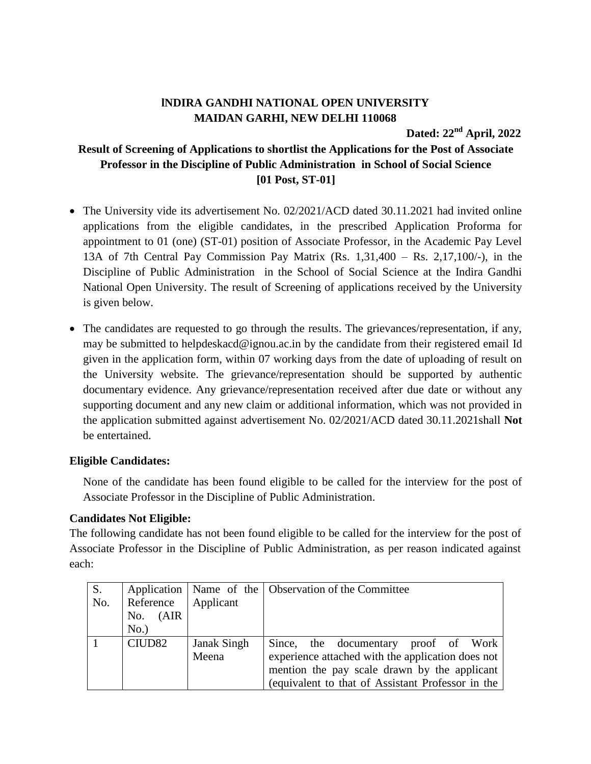## **lNDIRA GANDHI NATIONAL OPEN UNIVERSITY MAIDAN GARHI, NEW DELHI 110068**

**Dated: 22 nd April, 2022**

## **Result of Screening of Applications to shortlist the Applications for the Post of Associate Professor in the Discipline of Public Administration in School of Social Science [01 Post, ST-01]**

- The University vide its advertisement No. 02/2021/ACD dated 30.11.2021 had invited online applications from the eligible candidates, in the prescribed Application Proforma for appointment to 01 (one) (ST-01) position of Associate Professor, in the Academic Pay Level 13A of 7th Central Pay Commission Pay Matrix (Rs. 1,31,400 – Rs. 2,17,100/-), in the Discipline of Public Administration in the School of Social Science at the Indira Gandhi National Open University. The result of Screening of applications received by the University is given below.
- The candidates are requested to go through the results. The grievances/representation, if any, may be submitted to helpdeskacd@ignou.ac.in by the candidate from their registered email Id given in the application form, within 07 working days from the date of uploading of result on the University website. The grievance/representation should be supported by authentic documentary evidence. Any grievance/representation received after due date or without any supporting document and any new claim or additional information, which was not provided in the application submitted against advertisement No. 02/2021/ACD dated 30.11.2021shall **Not** be entertained.

## **Eligible Candidates:**

None of the candidate has been found eligible to be called for the interview for the post of Associate Professor in the Discipline of Public Administration.

## **Candidates Not Eligible:**

The following candidate has not been found eligible to be called for the interview for the post of Associate Professor in the Discipline of Public Administration, as per reason indicated against each:

| S.  |                    |                    | Application   Name of the   Observation of the Committee |
|-----|--------------------|--------------------|----------------------------------------------------------|
| No. | Reference          | Applicant          |                                                          |
|     | (AIR)<br>No.       |                    |                                                          |
|     | No.                |                    |                                                          |
|     | CIUD <sub>82</sub> | <b>Janak Singh</b> | Since, the documentary proof of Work                     |
|     |                    | Meena              | experience attached with the application does not        |
|     |                    |                    | mention the pay scale drawn by the applicant             |
|     |                    |                    | (equivalent to that of Assistant Professor in the        |